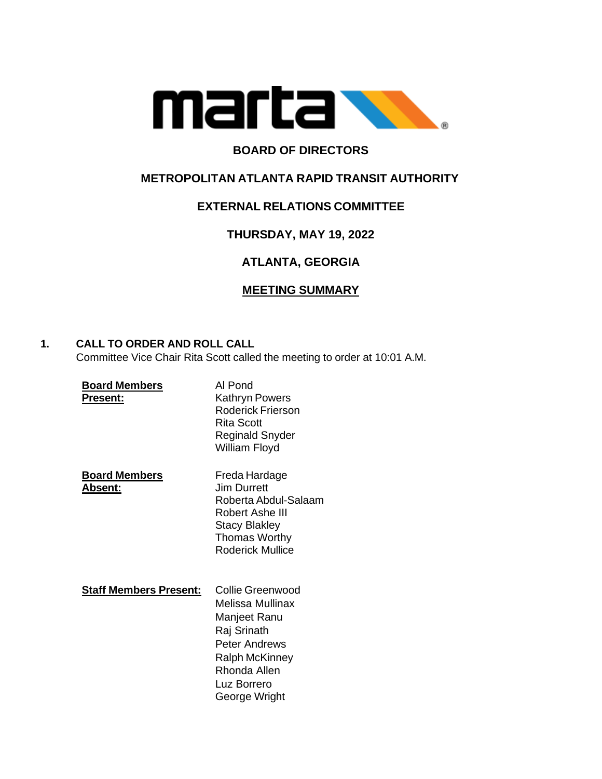

# **BOARD OF DIRECTORS**

# **METROPOLITAN ATLANTA RAPID TRANSIT AUTHORITY**

# **EXTERNAL RELATIONS COMMITTEE**

# **THURSDAY, MAY 19, 2022**

# **ATLANTA, GEORGIA**

# **MEETING SUMMARY**

# **1. CALL TO ORDER AND ROLL CALL**

Committee Vice Chair Rita Scott called the meeting to order at 10:01 A.M.

| <b>Board Members</b><br><b>Present:</b> | Al Pond<br><b>Kathryn Powers</b><br>Roderick Frierson<br>Rita Scott<br><b>Reginald Snyder</b><br>William Floyd                                                |
|-----------------------------------------|---------------------------------------------------------------------------------------------------------------------------------------------------------------|
| <b>Board Members</b><br><b>Absent:</b>  | Freda Hardage<br>Jim Durrett<br>Roberta Abdul-Salaam<br>Robert Ashe III<br><b>Stacy Blakley</b><br><b>Thomas Worthy</b><br>Roderick Mullice                   |
| <b>Staff Members Present:</b>           | Collie Greenwood<br>Melissa Mullinax<br>Manjeet Ranu<br>Raj Srinath<br>Peter Andrews<br><b>Ralph McKinney</b><br>Rhonda Allen<br>Luz Borrero<br>George Wright |